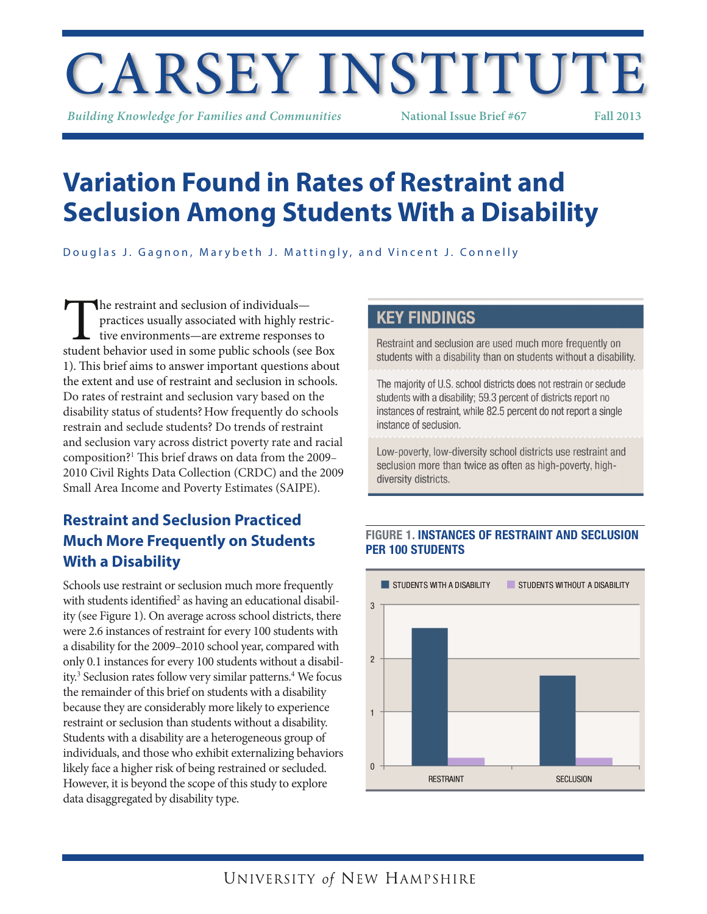# CARSEY INSTITUTE

*Building Knowledge for Families and Communities* **National Issue Brief #67 Fall 2013**

## **Variation Found in Rates of Restraint and Seclusion Among Students With a Disability**

Douglas J. Gagnon, Marybeth J. Mattingly, and Vincent J. Connelly

The restraint and seclusion of individuals—<br>practices usually associated with highly restric-<br>tive environments—are extreme responses to<br>student behavior used in some public schools (see Box practices usually associated with highly restrictive environments—are extreme responses to 1). This brief aims to answer important questions about the extent and use of restraint and seclusion in schools. Do rates of restraint and seclusion vary based on the disability status of students?How frequently do schools restrain and seclude students? Do trends of restraint and seclusion vary across district poverty rate and racial composition?<sup>1</sup> This brief draws on data from the 2009– 2010 Civil Rights Data Collection (CRDC) and the 2009 Small Area Income and Poverty Estimates (SAIPE).

## **Restraint and Seclusion Practiced Much More Frequently on Students With a Disability**

Schools use restraint or seclusion much more frequently with students identified<sup>2</sup> as having an educational disability (see Figure 1). On average across school districts, there were 2.6 instances of restraint for every 100 students with a disability for the 2009–2010 school year, compared with only 0.1 instances for every 100 students without a disability.<sup>3</sup> Seclusion rates follow very similar patterns.<sup>4</sup> We focus the remainder of this brief on students with a disability because they are considerably more likely to experience restraint or seclusion than students without a disability. Students with a disability are a heterogeneous group of individuals, and those who exhibit externalizing behaviors likely face a higher risk of being restrained or secluded. However, it is beyond the scope of this study to explore data disaggregated by disability type.

## **KEY FINDINGS**

Restraint and seclusion are used much more frequently on students with a disability than on students without a disability.

The majority of U.S. school districts does not restrain or seclude students with a disability; 59.3 percent of districts report no instances of restraint, while 82.5 percent do not report a single instance of seclusion.

Low-poverty, low-diversity school districts use restraint and seclusion more than twice as often as high-poverty, highdiversity districts.

## FIGURE 1. INSTANCES OF RESTRAINT AND SECLUSION PER 100 STUDENTS

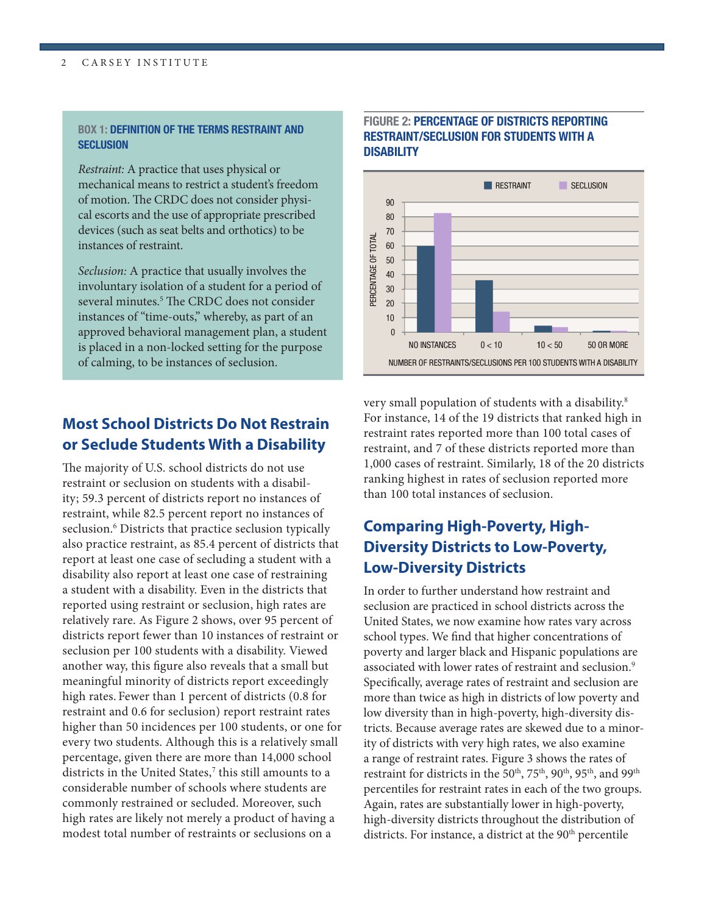#### 2 CARSEY INSTITUTE 3 and 2 and 3 and 3 and 3 and 3 and 3 and 3 and 3 and 3 and 3 and 3 and 3 and 3 and 3 and 3 and 3 and 3 and 3 and 3 and 3 and 3 and 3 and 3 and 3 and 3 and 3 and 3 and 3 and 3 and 3 and 3 and 3 and 3 and

#### BOX 1: DEFINITION OF THE TERMS RESTRAINT AND **SECLUSION**

*Restraint:* A practice that uses physical or mechanical means to restrict a student's freedom of motion. The CRDC does not consider physical escorts and the use of appropriate prescribed devices (such as seat belts and orthotics) to be instances of restraint.

*Seclusion:* A practice that usually involves the involuntary isolation of a student for a period of several minutes.<sup>5</sup> The CRDC does not consider instances of "time-outs," whereby, as part of an approved behavioral management plan, a student is placed in a non-locked setting for the purpose of calming, to be instances of seclusion.

## **Most School Districts Do Not Restrain or Seclude Students With a Disability**

The majority of U.S. school districts do not use restraint or seclusion on students with a disability; 59.3 percent of districts report no instances of restraint, while 82.5 percent report no instances of seclusion.<sup>6</sup> Districts that practice seclusion typically also practice restraint, as 85.4 percent of districts that report at least one case of secluding a student with a disability also report at least one case of restraining a student with a disability. Even in the districts that reported using restraint or seclusion, high rates are relatively rare. As Figure 2 shows, over 95 percent of districts report fewer than 10 instances of restraint or seclusion per 100 students with a disability. Viewed another way, this figure also reveals that a small but meaningful minority of districts report exceedingly high rates. Fewer than 1 percent of districts (0.8 for restraint and 0.6 for seclusion) report restraint rates higher than 50 incidences per 100 students, or one for every two students. Although this is a relatively small percentage, given there are more than 14,000 school districts in the United States,<sup>7</sup> this still amounts to a considerable number of schools where students are commonly restrained or secluded. Moreover, such high rates are likely not merely a product of having a modest total number of restraints or seclusions on a

## FIGURE 2: PERCENTAGE OF DISTRICTS REPORTING RESTRAINT/SECLUSION FOR STUDENTS WITH A **DISABILITY**



very small population of students with a disability.<sup>8</sup> For instance, 14 of the 19 districts that ranked high in restraint rates reported more than 100 total cases of restraint, and 7 of these districts reported more than 1,000 cases of restraint. Similarly, 18 of the 20 districts ranking highest in rates of seclusion reported more than 100 total instances of seclusion.

## **Comparing High-Poverty, High-Diversity Districts to Low-Poverty, Low-Diversity Districts**

In order to further understand how restraint and seclusion are practiced in school districts across the United States, we now examine how rates vary across school types. We find that higher concentrations of poverty and larger black and Hispanic populations are associated with lower rates of restraint and seclusion.<sup>9</sup> Specifically, average rates of restraint and seclusion are more than twice as high in districts of low poverty and low diversity than in high-poverty, high-diversity districts. Because average rates are skewed due to a minority of districts with very high rates, we also examine a range of restraint rates. Figure 3 shows the rates of restraint for districts in the 50<sup>th</sup>, 75<sup>th</sup>, 90<sup>th</sup>, 95<sup>th</sup>, and 99<sup>th</sup> percentiles for restraint rates in each of the two groups. Again, rates are substantially lower in high-poverty, high-diversity districts throughout the distribution of districts. For instance, a district at the 90<sup>th</sup> percentile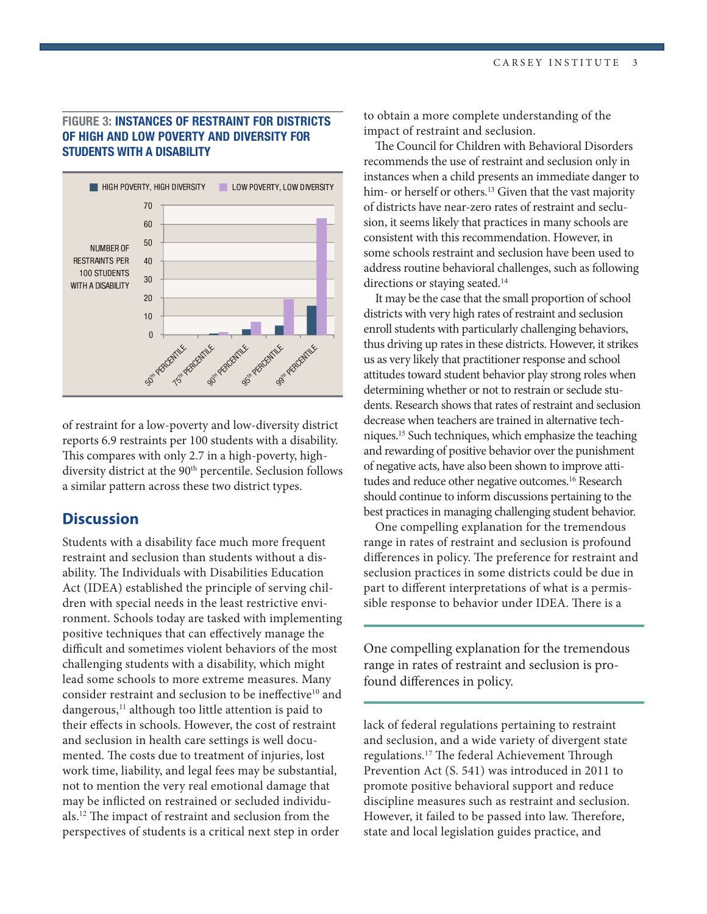## FIGURE 3: INSTANCES OF RESTRAINT FOR DISTRICTS OF HIGH AND LOW POVERTY AND DIVERSITY FOR STUDENTS WITH A DISABILITY



of restraint for a low-poverty and low-diversity district reports 6.9 restraints per 100 students with a disability. This compares with only 2.7 in a high-poverty, highdiversity district at the 90<sup>th</sup> percentile. Seclusion follows a similar pattern across these two district types.

## **Discussion**

Students with a disability face much more frequent restraint and seclusion than students without a disability. The Individuals with Disabilities Education Act (IDEA) established the principle of serving children with special needs in the least restrictive environment. Schools today are tasked with implementing positive techniques that can effectively manage the difficult and sometimes violent behaviors of the most challenging students with a disability, which might lead some schools to more extreme measures. Many consider restraint and seclusion to be ineffective<sup>10</sup> and dangerous,<sup>11</sup> although too little attention is paid to their effects in schools. However, the cost of restraint and seclusion in health care settings is well documented. The costs due to treatment of injuries, lost work time, liability, and legal fees may be substantial, not to mention the very real emotional damage that may be inflicted on restrained or secluded individuals.<sup>12</sup> The impact of restraint and seclusion from the perspectives of students is a critical next step in order

to obtain a more complete understanding of the impact of restraint and seclusion.

The Council for Children with Behavioral Disorders recommends the use of restraint and seclusion only in instances when a child presents an immediate danger to him- or herself or others.<sup>13</sup> Given that the vast majority of districts have near-zero rates of restraint and seclusion, it seems likely that practices in many schools are consistent with this recommendation. However, in some schools restraint and seclusion have been used to address routine behavioral challenges, such as following directions or staying seated.<sup>14</sup>

It may be the case that the small proportion of school districts with very high rates of restraint and seclusion enroll students with particularly challenging behaviors, thus driving up rates in these districts. However, it strikes us as very likely that practitioner response and school attitudes toward student behavior play strong roles when determining whether or not to restrain or seclude students. Research shows that rates of restraint and seclusion decrease when teachers are trained in alternative techniques.<sup>15</sup> Such techniques, which emphasize the teaching and rewarding of positive behavior over the punishment of negative acts, have also been shown to improve attitudes and reduce other negative outcomes.<sup>16</sup> Research should continue to inform discussions pertaining to the best practices in managing challenging student behavior.

One compelling explanation for the tremendous range in rates of restraint and seclusion is profound differences in policy. The preference for restraint and seclusion practices in some districts could be due in part to different interpretations of what is a permissible response to behavior under IDEA. There is a

One compelling explanation for the tremendous range in rates of restraint and seclusion is profound differences in policy.

lack of federal regulations pertaining to restraint and seclusion, and a wide variety of divergent state regulations.<sup>17</sup> The federal Achievement Through Prevention Act (S. 541) was introduced in 2011 to promote positive behavioral support and reduce discipline measures such as restraint and seclusion. However, it failed to be passed into law. Therefore, state and local legislation guides practice, and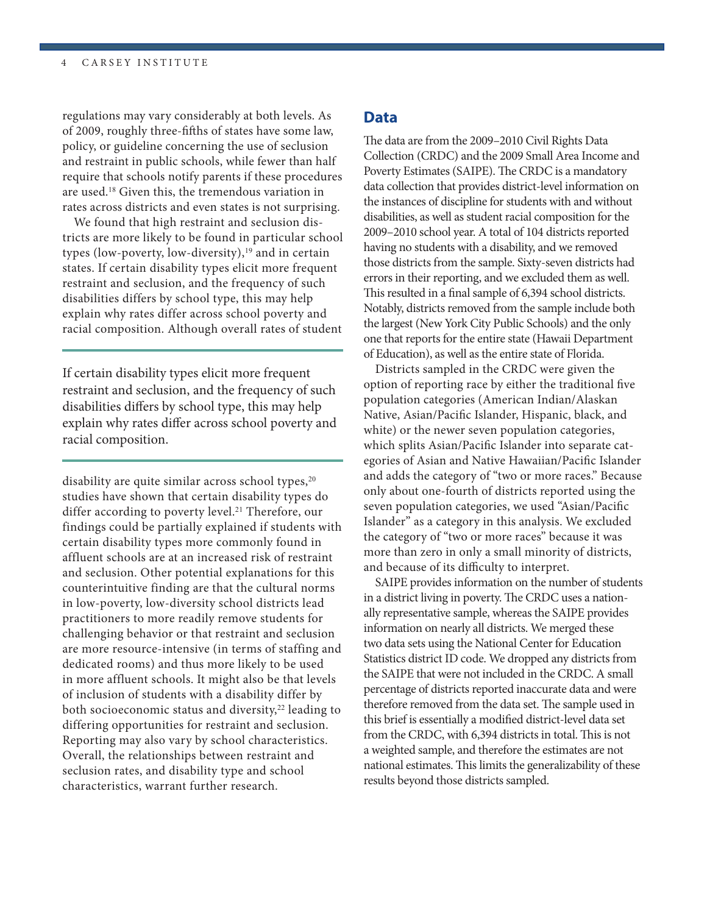regulations may vary considerably at both levels. As of 2009, roughly three-fifths of states have some law, policy, or guideline concerning the use of seclusion and restraint in public schools, while fewer than half require that schools notify parents if these procedures are used.<sup>18</sup> Given this, the tremendous variation in rates across districts and even states is not surprising.

We found that high restraint and seclusion districts are more likely to be found in particular school types (low-poverty, low-diversity), $19$  and in certain states. If certain disability types elicit more frequent restraint and seclusion, and the frequency of such disabilities differs by school type, this may help explain why rates differ across school poverty and racial composition. Although overall rates of student

If certain disability types elicit more frequent restraint and seclusion, and the frequency of such disabilities differs by school type, this may help explain why rates differ across school poverty and racial composition.

disability are quite similar across school types, $20$ studies have shown that certain disability types do differ according to poverty level.<sup>21</sup> Therefore, our findings could be partially explained if students with certain disability types more commonly found in affluent schools are at an increased risk of restraint and seclusion. Other potential explanations for this counterintuitive finding are that the cultural norms in low-poverty, low-diversity school districts lead practitioners to more readily remove students for challenging behavior or that restraint and seclusion are more resource-intensive (in terms of staffing and dedicated rooms) and thus more likely to be used in more affluent schools. It might also be that levels of inclusion of students with a disability differ by both socioeconomic status and diversity,<sup>22</sup> leading to differing opportunities for restraint and seclusion. Reporting may also vary by school characteristics. Overall, the relationships between restraint and seclusion rates, and disability type and school characteristics, warrant further research.

## **Data**

The data are from the 2009–2010 Civil Rights Data Collection (CRDC) and the 2009 Small Area Income and Poverty Estimates (SAIPE). The CRDC is a mandatory data collection that provides district-level information on the instances of discipline for students with and without disabilities, as well as student racial composition for the 2009–2010 school year. A total of 104 districts reported having no students with a disability, and we removed those districts from the sample. Sixty-seven districts had errors in their reporting, and we excluded them as well. This resulted in a final sample of 6,394 school districts. Notably, districts removed from the sample include both the largest (New York City Public Schools) and the only one that reports for the entire state (Hawaii Department of Education), as well as the entire state of Florida.

Districts sampled in the CRDC were given the option of reporting race by either the traditional five population categories (American Indian/Alaskan Native, Asian/Pacific Islander, Hispanic, black, and white) or the newer seven population categories, which splits Asian/Pacific Islander into separate categories of Asian and Native Hawaiian/Pacific Islander and adds the category of "two or more races." Because only about one-fourth of districts reported using the seven population categories, we used "Asian/Pacific Islander" as a category in this analysis. We excluded the category of "two or more races" because it was more than zero in only a small minority of districts, and because of its difficulty to interpret.

SAIPE provides information on the number of students in a district living in poverty. The CRDC uses a nationally representative sample, whereas the SAIPE provides information on nearly all districts. We merged these two data sets using the National Center for Education Statistics district ID code. We dropped any districts from the SAIPE that were not included in the CRDC. A small percentage of districts reported inaccurate data and were therefore removed from the data set. The sample used in this brief is essentially a modified district-level data set from the CRDC, with 6,394 districts in total. This is not a weighted sample, and therefore the estimates are not national estimates. This limits the generalizability of these results beyond those districts sampled.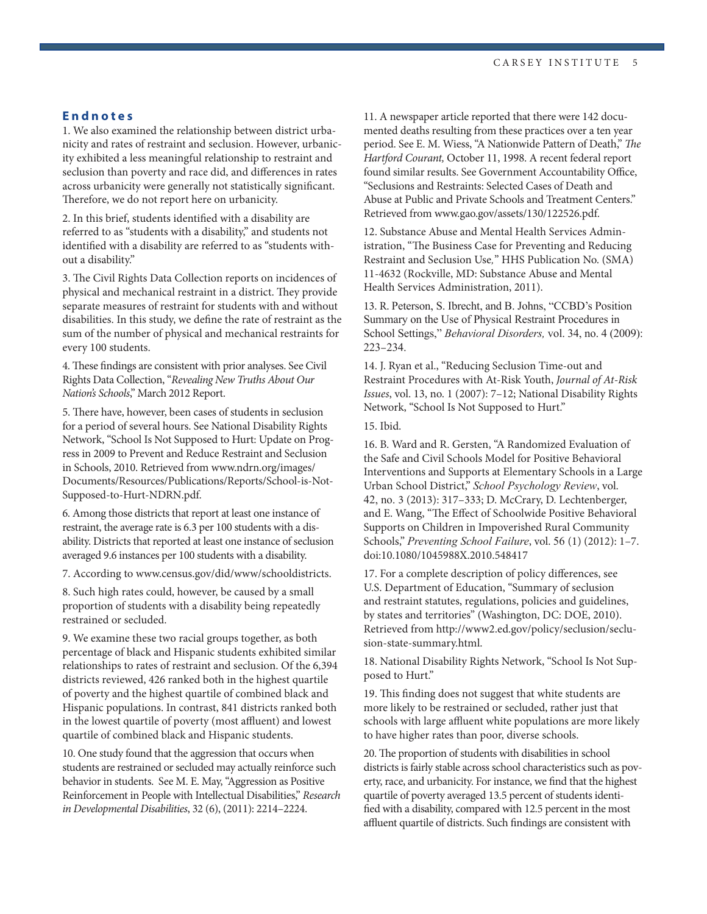#### **Endnotes**

1. We also examined the relationship between district urbanicity and rates of restraint and seclusion. However, urbanicity exhibited a less meaningful relationship to restraint and seclusion than poverty and race did, and differences in rates across urbanicity were generally not statistically significant. Therefore, we do not report here on urbanicity.

2. In this brief, students identified with a disability are referred to as "students with a disability," and students not identified with a disability are referred to as "students without a disability."

3. The Civil Rights Data Collection reports on incidences of physical and mechanical restraint in a district. They provide separate measures of restraint for students with and without disabilities. In this study, we define the rate of restraint as the sum of the number of physical and mechanical restraints for every 100 students.

4. These findings are consistent with prior analyses. See Civil Rights Data Collection, "*Revealing New Truths About Our Nation's Schools*," March 2012 Report.

5. There have, however, been cases of students in seclusion for a period of several hours. See National Disability Rights Network, "School Is Not Supposed to Hurt: Update on Progress in 2009 to Prevent and Reduce Restraint and Seclusion in Schools, 2010. Retrieved from www.ndrn.org/images/ Documents/Resources/Publications/Reports/School-is-Not-Supposed-to-Hurt-NDRN.pdf.

6. Among those districts that report at least one instance of restraint, the average rate is 6.3 per 100 students with a disability. Districts that reported at least one instance of seclusion averaged 9.6 instances per 100 students with a disability.

7. According to www.census.gov/did/www/schooldistricts.

8. Such high rates could, however, be caused by a small proportion of students with a disability being repeatedly restrained or secluded.

9. We examine these two racial groups together, as both percentage of black and Hispanic students exhibited similar relationships to rates of restraint and seclusion. Of the 6,394 districts reviewed, 426 ranked both in the highest quartile of poverty and the highest quartile of combined black and Hispanic populations. In contrast, 841 districts ranked both in the lowest quartile of poverty (most affluent) and lowest quartile of combined black and Hispanic students.

10. One study found that the aggression that occurs when students are restrained or secluded may actually reinforce such behavior in students. See M. E. May, "Aggression as Positive Reinforcement in People with Intellectual Disabilities," *Research in Developmental Disabilities*, 32 (6), (2011): 2214–2224.

11. A newspaper article reported that there were 142 documented deaths resulting from these practices over a ten year period. See E. M. Wiess, "A Nationwide Pattern of Death," *The Hartford Courant,* October 11, 1998. A recent federal report found similar results. See Government Accountability Office, "Seclusions and Restraints: Selected Cases of Death and Abuse at Public and Private Schools and Treatment Centers." Retrieved from www.gao.gov/assets/130/122526.pdf.

12. Substance Abuse and Mental Health Services Administration, "The Business Case for Preventing and Reducing Restraint and Seclusion Use*,*" HHS Publication No. (SMA) 11-4632 (Rockville, MD: Substance Abuse and Mental Health Services Administration, 2011).

13. R. Peterson, S. Ibrecht, and B. Johns, "CCBD's Position Summary on the Use of Physical Restraint Procedures in School Settings," *Behavioral Disorders,* vol. 34, no. 4 (2009): 223–234.

14. J. Ryan et al., "Reducing Seclusion Time-out and Restraint Procedures with At-Risk Youth, *Journal of At-Risk Issues*, vol. 13, no. 1 (2007): 7–12; National Disability Rights Network, "School Is Not Supposed to Hurt."

15. Ibid.

16. B. Ward and R. Gersten, "A Randomized Evaluation of the Safe and Civil Schools Model for Positive Behavioral Interventions and Supports at Elementary Schools in a Large Urban School District," *School Psychology Review*, vol. 42, no. 3 (2013): 317–333; D. McCrary, D. Lechtenberger, and E. Wang, "The Effect of Schoolwide Positive Behavioral Supports on Children in Impoverished Rural Community Schools," *Preventing School Failure*, vol. 56 (1) (2012): 1–7. doi:10.1080/1045988X.2010.548417

17. For a complete description of policy differences, see U.S. Department of Education, "Summary of seclusion and restraint statutes, regulations, policies and guidelines, by states and territories" (Washington, DC: DOE, 2010). Retrieved from http://www2.ed.gov/policy/seclusion/seclusion-state-summary.html.

18. National Disability Rights Network, "School Is Not Supposed to Hurt."

19. This finding does not suggest that white students are more likely to be restrained or secluded, rather just that schools with large affluent white populations are more likely to have higher rates than poor, diverse schools.

20. The proportion of students with disabilities in school districts is fairly stable across school characteristics such as poverty, race, and urbanicity. For instance, we find that the highest quartile of poverty averaged 13.5 percent of students identified with a disability, compared with 12.5 percent in the most affluent quartile of districts. Such findings are consistent with